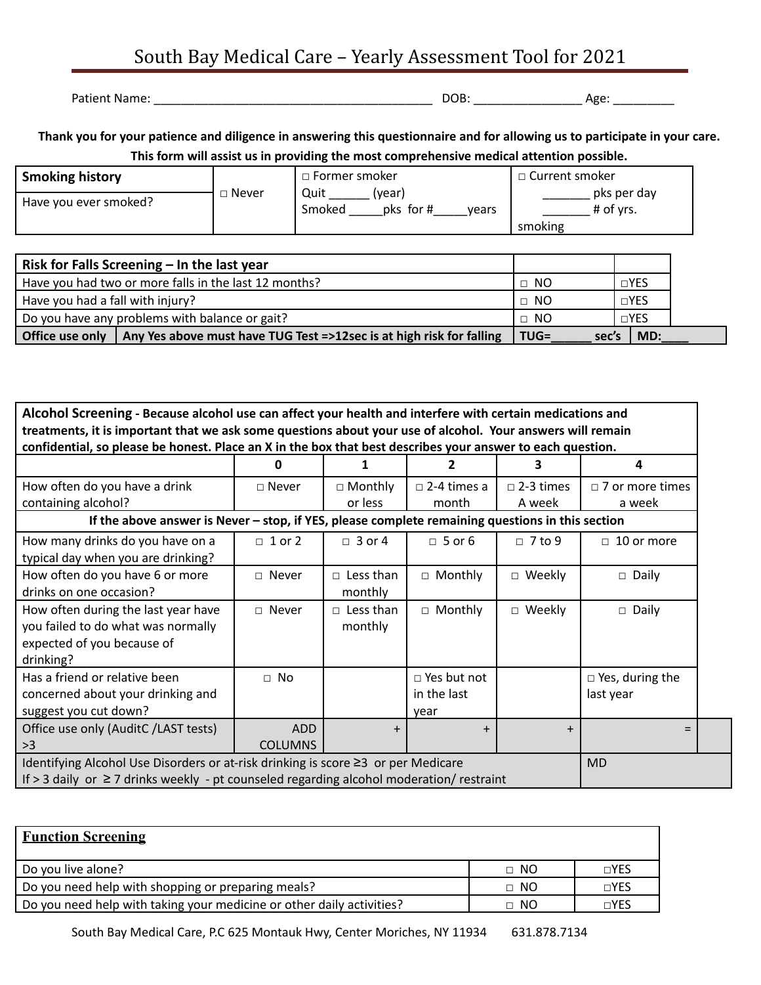## South Bay Medical Care – Yearly Assessment Tool for 2021

Patient Name: \_\_\_\_\_\_\_\_\_\_\_\_\_\_\_\_\_\_\_\_\_\_\_\_\_\_\_\_\_\_\_\_\_\_\_\_\_\_\_\_\_ DOB: \_\_\_\_\_\_\_\_\_\_\_\_\_\_\_\_ Age: \_\_\_\_\_\_\_\_\_

Thank you for your patience and diligence in answering this questionnaire and for allowing us to participate in your care. **This form will assist us in providing the most comprehensive medical attention possible.**

| <b>Smoking history</b> |         | □ Former smoker                                | □ Current smoker                    |  |
|------------------------|---------|------------------------------------------------|-------------------------------------|--|
| Have you ever smoked?  | ∟ Never | Quit<br>(vear)<br>pks for #<br>Smoked<br>vears | pks per day<br># of vrs.<br>smoking |  |

|                                  | Risk for Falls Screening $-$ In the last year                                                      |                  |            |
|----------------------------------|----------------------------------------------------------------------------------------------------|------------------|------------|
|                                  | Have you had two or more falls in the last 12 months?                                              | $\Box$ NO        | $\Box$ YES |
| Have you had a fall with injury? |                                                                                                    | $\Box$ NO        | $\Box$ YES |
|                                  | Do you have any problems with balance or gait?                                                     | $\Box$ NO        | $\Box$ YES |
|                                  | $\mid$ Office use only $\mid$ Any Yes above must have TUG Test =>12sec is at high risk for falling | $TUG =$<br>sec's | MD:        |

| Alcohol Screening - Because alcohol use can affect your health and interfere with certain medications and                                                                                       |                              |                             |                                           |                  |                                     |  |  |
|-------------------------------------------------------------------------------------------------------------------------------------------------------------------------------------------------|------------------------------|-----------------------------|-------------------------------------------|------------------|-------------------------------------|--|--|
| treatments, it is important that we ask some questions about your use of alcohol. Your answers will remain                                                                                      |                              |                             |                                           |                  |                                     |  |  |
| confidential, so please be honest. Place an X in the box that best describes your answer to each question.                                                                                      |                              |                             |                                           |                  |                                     |  |  |
|                                                                                                                                                                                                 | O                            |                             |                                           | з                | 4                                   |  |  |
| How often do you have a drink                                                                                                                                                                   | $\Box$ Never                 | $\Box$ Monthly              | $\Box$ 2-4 times a                        | $\Box$ 2-3 times | $\Box$ 7 or more times              |  |  |
| containing alcohol?                                                                                                                                                                             |                              | or less                     | month                                     | A week           | a week                              |  |  |
| If the above answer is Never $-$ stop, if YES, please complete remaining questions in this section                                                                                              |                              |                             |                                           |                  |                                     |  |  |
| How many drinks do you have on a<br>typical day when you are drinking?                                                                                                                          | $\Box$ 1 or 2                | $\Box$ 3 or 4               | $\Box$ 5 or 6                             | $\Box$ 7 to 9    | $\Box$ 10 or more                   |  |  |
| How often do you have 6 or more<br>drinks on one occasion?                                                                                                                                      | $\Box$ Never                 | $\Box$ Less than<br>monthly | $\Box$ Monthly                            | $\Box$ Weekly    | $\Box$ Daily                        |  |  |
| How often during the last year have<br>you failed to do what was normally<br>expected of you because of<br>drinking?                                                                            | $\Box$ Never                 | $\Box$ Less than<br>monthly | $\Box$ Monthly                            | $\Box$ Weekly    | $\Box$ Daily                        |  |  |
| Has a friend or relative been<br>concerned about your drinking and<br>suggest you cut down?                                                                                                     | $\Box$ No                    |                             | $\Box$ Yes but not<br>in the last<br>vear |                  | $\Box$ Yes, during the<br>last year |  |  |
| Office use only (AuditC /LAST tests)<br>>3                                                                                                                                                      | <b>ADD</b><br><b>COLUMNS</b> | $+$                         | $\ddot{}$                                 | $+$              | $=$                                 |  |  |
| Identifying Alcohol Use Disorders or at-risk drinking is score ≥3 or per Medicare<br><b>MD</b><br>If > 3 daily or $\geq$ 7 drinks weekly - pt counseled regarding alcohol moderation/ restraint |                              |                             |                                           |                  |                                     |  |  |

| <b>Function Screening</b>                                             |           |            |
|-----------------------------------------------------------------------|-----------|------------|
| Do you live alone?                                                    | $\Box$ NO | $\Box$ YES |
| Do you need help with shopping or preparing meals?                    | $\Box$ NO | $\Box$ YES |
| Do you need help with taking your medicine or other daily activities? | $\Box$ NO | $\Box$ YES |

South Bay Medical Care, P.C 625 Montauk Hwy, Center Moriches, NY 11934 631.878.7134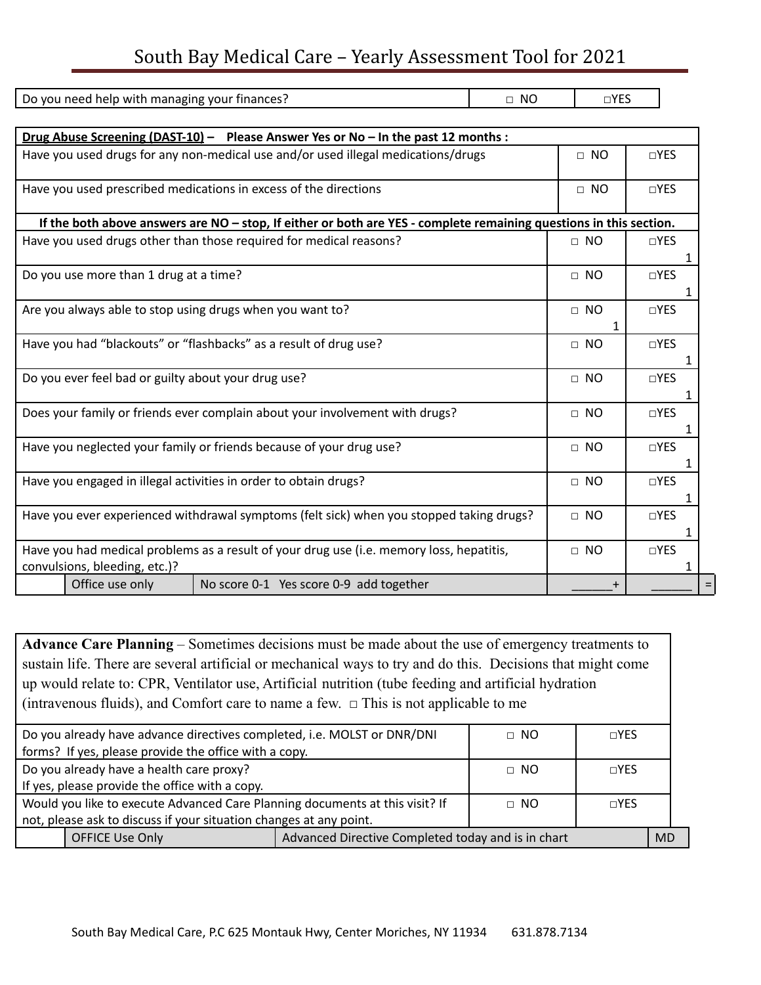## South Bay Medical Care – Yearly Assessment Tool for 2021

| Do you need help with managing your finances?                                                                      | $\Box$ NO | $\Box$ YES |            |  |
|--------------------------------------------------------------------------------------------------------------------|-----------|------------|------------|--|
|                                                                                                                    |           |            |            |  |
| Drug Abuse Screening (DAST-10) - Please Answer Yes or No - In the past 12 months :                                 |           |            |            |  |
| Have you used drugs for any non-medical use and/or used illegal medications/drugs                                  |           | $\Box$ NO  | $\Box$ YES |  |
|                                                                                                                    |           |            |            |  |
| Have you used prescribed medications in excess of the directions                                                   |           | $\Box$ NO  | $\Box$ YES |  |
| If the both above answers are NO - stop, If either or both are YES - complete remaining questions in this section. |           |            |            |  |
| Have you used drugs other than those required for medical reasons?                                                 |           | $\Box$ NO  | $\Box$ YES |  |
|                                                                                                                    |           |            |            |  |
| Do you use more than 1 drug at a time?                                                                             |           | $\Box$ NO  | $\Box$ YES |  |
|                                                                                                                    |           |            |            |  |
| Are you always able to stop using drugs when you want to?                                                          |           | $\Box$ NO  | $\Box$ YES |  |
|                                                                                                                    |           | 1          |            |  |
| Have you had "blackouts" or "flashbacks" as a result of drug use?                                                  |           | $\Box$ NO  | $\Box$ YES |  |
|                                                                                                                    |           |            |            |  |
| Do you ever feel bad or guilty about your drug use?                                                                |           |            | $\Box$ YES |  |
|                                                                                                                    |           |            |            |  |
| Does your family or friends ever complain about your involvement with drugs?                                       |           |            | $\Box$ YES |  |
| Have you neglected your family or friends because of your drug use?                                                |           | $\Box$ NO  | $\Box$ YES |  |
|                                                                                                                    |           |            |            |  |
| Have you engaged in illegal activities in order to obtain drugs?                                                   |           | $\Box$ NO  | $\Box$ YES |  |
|                                                                                                                    |           |            |            |  |
| Have you ever experienced withdrawal symptoms (felt sick) when you stopped taking drugs?                           |           |            | $\Box$ YES |  |
|                                                                                                                    | $\Box$ NO |            |            |  |
| Have you had medical problems as a result of your drug use (i.e. memory loss, hepatitis,                           |           |            | $\Box$ YES |  |
| convulsions, bleeding, etc.)?                                                                                      |           |            |            |  |
| Office use only<br>No score 0-1 Yes score 0-9 add together                                                         |           |            |            |  |

**Advance Care Planning** – Sometimes decisions must be made about the use of emergency treatments to sustain life. There are several artificial or mechanical ways to try and do this. Decisions that might come up would relate to: CPR, Ventilator use, Artificial nutrition (tube feeding and artificial hydration (intravenous fluids), and Comfort care to name a few.  $\Box$  This is not applicable to me

| Do you already have advance directives completed, i.e. MOLST or DNR/DNI      |           | $\Box$ NO    | $\Box$ YES |           |
|------------------------------------------------------------------------------|-----------|--------------|------------|-----------|
| forms? If yes, please provide the office with a copy.                        |           |              |            |           |
| Do you already have a health care proxy?                                     |           | $\Box$ NO    | $\Box$ YES |           |
| If yes, please provide the office with a copy.                               |           |              |            |           |
| Would you like to execute Advanced Care Planning documents at this visit? If | $\Box$ NO | $\sqcap$ YFS |            |           |
| not, please ask to discuss if your situation changes at any point.           |           |              |            |           |
| Advanced Directive Completed today and is in chart<br><b>OFFICE Use Only</b> |           |              |            | <b>MD</b> |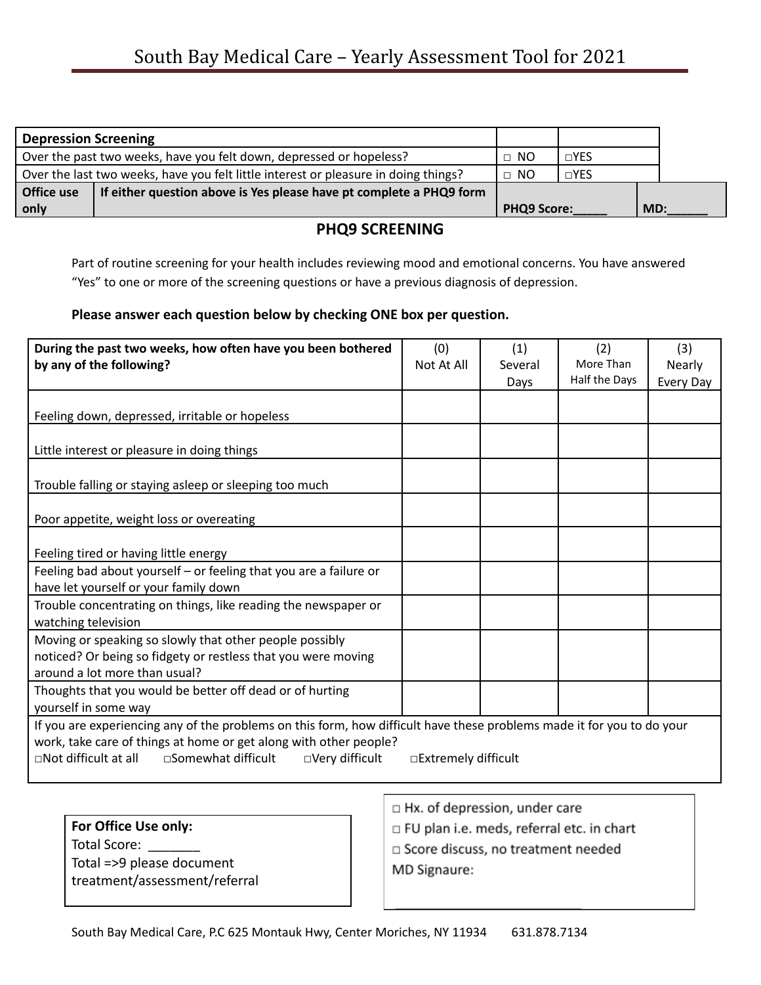| <b>Depression Screening</b> |                                                                                     |                    |            |     |
|-----------------------------|-------------------------------------------------------------------------------------|--------------------|------------|-----|
|                             | Over the past two weeks, have you felt down, depressed or hopeless?                 | $\Box$ NO          | $\Box$ YES |     |
|                             | Over the last two weeks, have you felt little interest or pleasure in doing things? | $\Box$ NO          | $\Box$ YES |     |
| Office use                  | If either question above is Yes please have pt complete a PHQ9 form                 |                    |            |     |
| only                        |                                                                                     | <b>PHQ9 Score:</b> |            | MD: |

## **PHQ9 SCREENING**

Part of routine screening for your health includes reviewing mood and emotional concerns. You have answered "Yes" to one or more of the screening questions or have a previous diagnosis of depression.

## **Please answer each question below by checking ONE box per question.**

| During the past two weeks, how often have you been bothered<br>by any of the following?                                                                                                                                                                                                | (0)<br>Not At All | (1)<br>Several<br>Days | (2)<br>More Than<br>Half the Days | (3)<br><b>Nearly</b><br><b>Every Day</b> |
|----------------------------------------------------------------------------------------------------------------------------------------------------------------------------------------------------------------------------------------------------------------------------------------|-------------------|------------------------|-----------------------------------|------------------------------------------|
| Feeling down, depressed, irritable or hopeless                                                                                                                                                                                                                                         |                   |                        |                                   |                                          |
| Little interest or pleasure in doing things                                                                                                                                                                                                                                            |                   |                        |                                   |                                          |
| Trouble falling or staying asleep or sleeping too much                                                                                                                                                                                                                                 |                   |                        |                                   |                                          |
| Poor appetite, weight loss or overeating                                                                                                                                                                                                                                               |                   |                        |                                   |                                          |
| Feeling tired or having little energy                                                                                                                                                                                                                                                  |                   |                        |                                   |                                          |
| Feeling bad about yourself - or feeling that you are a failure or<br>have let yourself or your family down                                                                                                                                                                             |                   |                        |                                   |                                          |
| Trouble concentrating on things, like reading the newspaper or<br>watching television                                                                                                                                                                                                  |                   |                        |                                   |                                          |
| Moving or speaking so slowly that other people possibly<br>noticed? Or being so fidgety or restless that you were moving<br>around a lot more than usual?                                                                                                                              |                   |                        |                                   |                                          |
| Thoughts that you would be better off dead or of hurting<br>yourself in some way                                                                                                                                                                                                       |                   |                        |                                   |                                          |
| If you are experiencing any of the problems on this form, how difficult have these problems made it for you to do your<br>work, take care of things at home or get along with other people?<br>□Not difficult at all<br>□Somewhat difficult<br>□Very difficult<br>□Extremely difficult |                   |                        |                                   |                                          |

- □ Hx. of depression, under care
- □ FU plan i.e. meds, referral etc. in chart
- □ Score discuss, no treatment needed
- MD Signaure: